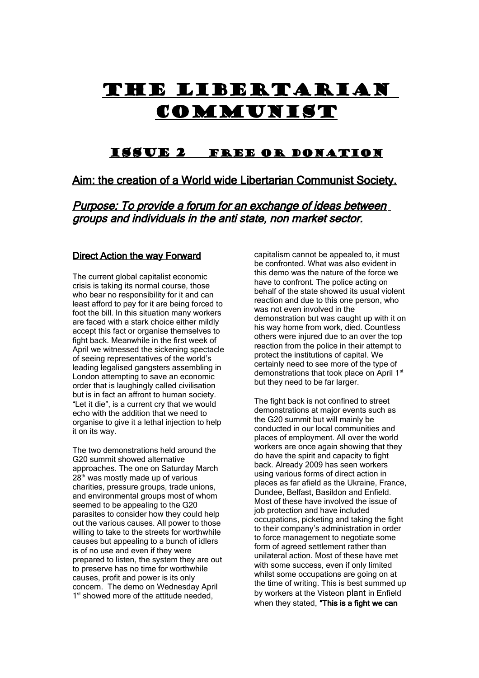# THE LIBERTARIAN **COMMUNIST**

# Issue 2 Free or Donation

# Aim: the creation of a World wide Libertarian Communist Society.

Purpose: To provide a forum for an exchange of ideas between groups and individuals in the anti state, non market sector.

# Direct Action the way Forward

The current global capitalist economic crisis is taking its normal course, those who bear no responsibility for it and can least afford to pay for it are being forced to foot the bill. In this situation many workers are faced with a stark choice either mildly accept this fact or organise themselves to fight back. Meanwhile in the first week of April we witnessed the sickening spectacle of seeing representatives of the world's leading legalised gangsters assembling in London attempting to save an economic order that is laughingly called civilisation but is in fact an affront to human society. "Let it die", is a current cry that we would echo with the addition that we need to organise to give it a lethal injection to help it on its way.

The two demonstrations held around the G20 summit showed alternative approaches. The one on Saturday March 28<sup>th</sup> was mostly made up of various charities, pressure groups, trade unions, and environmental groups most of whom seemed to be appealing to the G20 parasites to consider how they could help out the various causes. All power to those willing to take to the streets for worthwhile causes but appealing to a bunch of idlers is of no use and even if they were prepared to listen, the system they are out to preserve has no time for worthwhile causes, profit and power is its only concern. The demo on Wednesday April 1<sup>st</sup> showed more of the attitude needed,

capitalism cannot be appealed to, it must be confronted. What was also evident in this demo was the nature of the force we have to confront. The police acting on behalf of the state showed its usual violent reaction and due to this one person, who was not even involved in the demonstration but was caught up with it on his way home from work, died. Countless others were injured due to an over the top reaction from the police in their attempt to protect the institutions of capital. We certainly need to see more of the type of demonstrations that took place on April 1st but they need to be far larger.

The fight back is not confined to street demonstrations at major events such as the G20 summit but will mainly be conducted in our local communities and places of employment. All over the world workers are once again showing that they do have the spirit and capacity to fight back. Already 2009 has seen workers using various forms of direct action in places as far afield as the Ukraine, France, Dundee, Belfast, Basildon and Enfield. Most of these have involved the issue of job protection and have included occupations, picketing and taking the fight to their company's administration in order to force management to negotiate some form of agreed settlement rather than unilateral action. Most of these have met with some success, even if only limited whilst some occupations are going on at the time of writing. This is best summed up by workers at the Visteon plant in Enfield when they stated, "This is a fight we can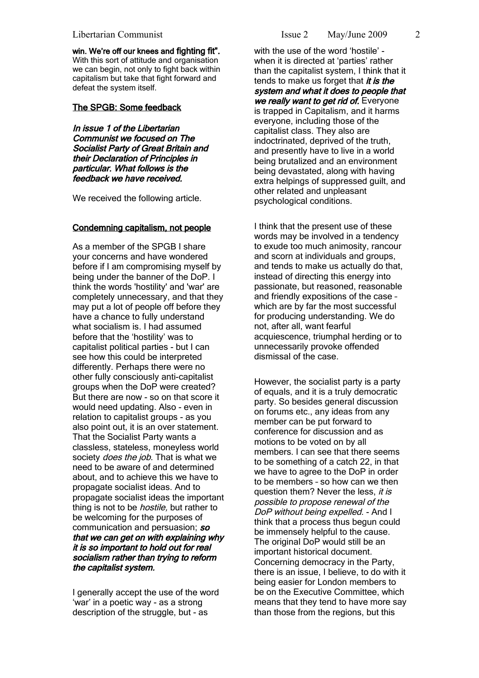#### Libertarian Communist Issue 2 May/June 2009

win. We're off our knees and fighting fit". With this sort of attitude and organisation we can begin, not only to fight back within capitalism but take that fight forward and defeat the system itself.

#### The SPGB: Some feedback

In issue 1 of the Libertarian Communist we focused on The Socialist Party of Great Britain and their Declaration of Principles in particular. What follows is the feedback we have received.

We received the following article.

#### Condemning capitalism, not people

As a member of the SPGB I share your concerns and have wondered before if I am compromising myself by being under the banner of the DoP. I think the words 'hostility' and 'war' are completely unnecessary, and that they may put a lot of people off before they have a chance to fully understand what socialism is. I had assumed before that the 'hostility' was to capitalist political parties - but I can see how this could be interpreted differently. Perhaps there were no other fully consciously anti-capitalist groups when the DoP were created? But there are now - so on that score it would need updating. Also - even in relation to capitalist groups - as you also point out, it is an over statement. That the Socialist Party wants a classless, stateless, moneyless world society *does the job*. That is what we need to be aware of and determined about, and to achieve this we have to propagate socialist ideas. And to propagate socialist ideas the important thing is not to be *hostile*, but rather to be welcoming for the purposes of communication and persuasion; so that we can get on with explaining why it is so important to hold out for real socialism rather than trying to reform the capitalist system.

I generally accept the use of the word 'war' in a poetic way - as a strong description of the struggle, but - as

with the use of the word 'hostile' when it is directed at 'parties' rather than the capitalist system, I think that it tends to make us forget that  $it$  is the system and what it does to people that we really want to get rid of. Everyone is trapped in Capitalism, and it harms everyone, including those of the capitalist class. They also are indoctrinated, deprived of the truth, and presently have to live in a world being brutalized and an environment being devastated, along with having extra helpings of suppressed guilt, and other related and unpleasant psychological conditions.

I think that the present use of these words may be involved in a tendency to exude too much animosity, rancour and scorn at individuals and groups, and tends to make us actually do that, instead of directing this energy into passionate, but reasoned, reasonable and friendly expositions of the case – which are by far the most successful for producing understanding. We do not, after all, want fearful acquiescence, triumphal herding or to unnecessarily provoke offended dismissal of the case.

However, the socialist party is a party of equals, and it is a truly democratic party. So besides general discussion on forums etc., any ideas from any member can be put forward to conference for discussion and as motions to be voted on by all members. I can see that there seems to be something of a catch 22, in that we have to agree to the DoP in order to be members – so how can we then question them? Never the less, it is possible to propose renewal of the DoP without being expelled. - And I think that a process thus begun could be immensely helpful to the cause. The original DoP would still be an important historical document. Concerning democracy in the Party, there is an issue, I believe, to do with it being easier for London members to be on the Executive Committee, which means that they tend to have more say than those from the regions, but this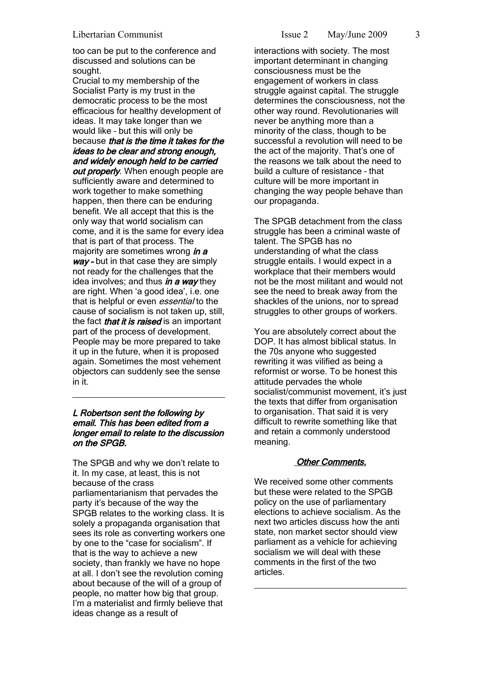too can be put to the conference and discussed and solutions can be sought.

Crucial to my membership of the Socialist Party is my trust in the democratic process to be the most efficacious for healthy development of ideas. It may take longer than we would like – but this will only be because that is the time it takes for the ideas to be clear and strong enough, and widely enough held to be carried out properly. When enough people are sufficiently aware and determined to work together to make something happen, then there can be enduring benefit. We all accept that this is the only way that world socialism can come, and it is the same for every idea that is part of that process. The majority are sometimes wrong  $\mathbf{i}$ n a way - but in that case they are simply not ready for the challenges that the idea involves; and thus  $\mathbf{i}n \mathbf{a}$  way they are right. When 'a good idea', i.e. one that is helpful or even *essential* to the cause of socialism is not taken up, still, the fact *that it is raised* is an important part of the process of development. People may be more prepared to take it up in the future, when it is proposed again. Sometimes the most vehement objectors can suddenly see the sense in it.

# L Robertson sent the following by email. This has been edited from a longer email to relate to the discussion on the SPGB.

The SPGB and why we don't relate to it. In my case, at least, this is not because of the crass parliamentarianism that pervades the party it's because of the way the SPGB relates to the working class. It is solely a propaganda organisation that sees its role as converting workers one by one to the "case for socialism". If that is the way to achieve a new society, than frankly we have no hope at all. I don't see the revolution coming about because of the will of a group of people, no matter how big that group. I'm a materialist and firmly believe that ideas change as a result of

interactions with society. The most important determinant in changing consciousness must be the engagement of workers in class struggle against capital. The struggle determines the consciousness, not the other way round. Revolutionaries will never be anything more than a minority of the class, though to be successful a revolution will need to be the act of the majority. That's one of the reasons we talk about the need to build a culture of resistance – that culture will be more important in changing the way people behave than our propaganda.

The SPGB detachment from the class struggle has been a criminal waste of talent. The SPGB has no understanding of what the class struggle entails. I would expect in a workplace that their members would not be the most militant and would not see the need to break away from the shackles of the unions, nor to spread struggles to other groups of workers.

You are absolutely correct about the DOP. It has almost biblical status. In the 70s anyone who suggested rewriting it was vilified as being a reformist or worse. To be honest this attitude pervades the whole socialist/communist movement, it's just the texts that differ from organisation to organisation. That said it is very difficult to rewrite something like that and retain a commonly understood meaning.

# Other Comments.

We received some other comments but these were related to the SPGB policy on the use of parliamentary elections to achieve socialism. As the next two articles discuss how the anti state, non market sector should view parliament as a vehicle for achieving socialism we will deal with these comments in the first of the two articles.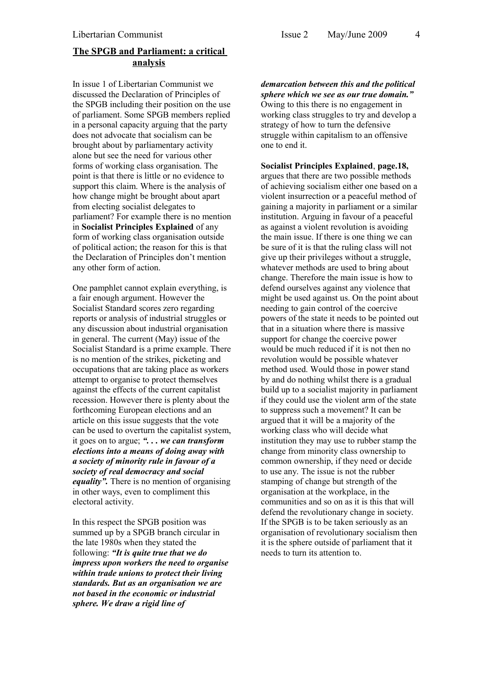# **The SPGB and Parliament: a critical analysis**

In issue 1 of Libertarian Communist we discussed the Declaration of Principles of the SPGB including their position on the use of parliament. Some SPGB members replied in a personal capacity arguing that the party does not advocate that socialism can be brought about by parliamentary activity alone but see the need for various other forms of working class organisation. The point is that there is little or no evidence to support this claim. Where is the analysis of how change might be brought about apart from electing socialist delegates to parliament? For example there is no mention in **Socialist Principles Explained** of any form of working class organisation outside of political action; the reason for this is that the Declaration of Principles don't mention any other form of action.

One pamphlet cannot explain everything, is a fair enough argument. However the Socialist Standard scores zero regarding reports or analysis of industrial struggles or any discussion about industrial organisation in general. The current (May) issue of the Socialist Standard is a prime example. There is no mention of the strikes, picketing and occupations that are taking place as workers attempt to organise to protect themselves against the effects of the current capitalist recession. However there is plenty about the forthcoming European elections and an article on this issue suggests that the vote can be used to overturn the capitalist system, it goes on to argue; *". . . we can transform elections into a means of doing away with a society of minority rule in favour of a society of real democracy and social equality".* There is no mention of organising in other ways, even to compliment this electoral activity.

In this respect the SPGB position was summed up by a SPGB branch circular in the late 1980s when they stated the following: *"It is quite true that we do impress upon workers the need to organise within trade unions to protect their living standards. But as an organisation we are not based in the economic or industrial sphere. We draw a rigid line of*

*demarcation between this and the political sphere which we see as our true domain."* Owing to this there is no engagement in working class struggles to try and develop a strategy of how to turn the defensive struggle within capitalism to an offensive one to end it.

**Socialist Principles Explained**, **page.18,** argues that there are two possible methods of achieving socialism either one based on a violent insurrection or a peaceful method of gaining a majority in parliament or a similar institution. Arguing in favour of a peaceful as against a violent revolution is avoiding the main issue. If there is one thing we can be sure of it is that the ruling class will not give up their privileges without a struggle, whatever methods are used to bring about change. Therefore the main issue is how to defend ourselves against any violence that might be used against us. On the point about needing to gain control of the coercive powers of the state it needs to be pointed out that in a situation where there is massive support for change the coercive power would be much reduced if it is not then no revolution would be possible whatever method used. Would those in power stand by and do nothing whilst there is a gradual build up to a socialist majority in parliament if they could use the violent arm of the state to suppress such a movement? It can be argued that it will be a majority of the working class who will decide what institution they may use to rubber stamp the change from minority class ownership to common ownership, if they need or decide to use any. The issue is not the rubber stamping of change but strength of the organisation at the workplace, in the communities and so on as it is this that will defend the revolutionary change in society. If the SPGB is to be taken seriously as an organisation of revolutionary socialism then it is the sphere outside of parliament that it needs to turn its attention to.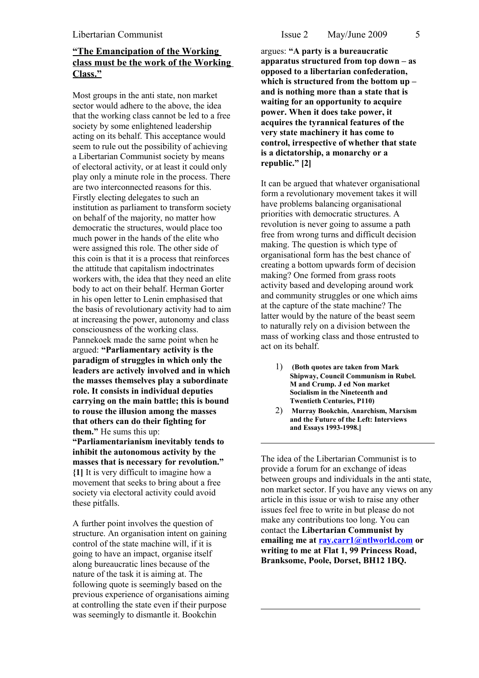# **"The Emancipation of the Working class must be the work of the Working Class."**

Most groups in the anti state, non market sector would adhere to the above, the idea that the working class cannot be led to a free society by some enlightened leadership acting on its behalf. This acceptance would seem to rule out the possibility of achieving a Libertarian Communist society by means of electoral activity, or at least it could only play only a minute role in the process. There are two interconnected reasons for this. Firstly electing delegates to such an institution as parliament to transform society on behalf of the majority, no matter how democratic the structures, would place too much power in the hands of the elite who were assigned this role. The other side of this coin is that it is a process that reinforces the attitude that capitalism indoctrinates workers with, the idea that they need an elite body to act on their behalf. Herman Gorter in his open letter to Lenin emphasised that the basis of revolutionary activity had to aim at increasing the power, autonomy and class consciousness of the working class. Pannekoek made the same point when he argued: **"Parliamentary activity is the paradigm of struggles in which only the leaders are actively involved and in which the masses themselves play a subordinate role. It consists in individual deputies carrying on the main battle; this is bound to rouse the illusion among the masses that others can do their fighting for them."** He sums this up: **"Parliamentarianism inevitably tends to inhibit the autonomous activity by the**

**masses that is necessary for revolution." {1]** It is very difficult to imagine how a movement that seeks to bring about a free society via electoral activity could avoid these pitfalls.

A further point involves the question of structure. An organisation intent on gaining control of the state machine will, if it is going to have an impact, organise itself along bureaucratic lines because of the nature of the task it is aiming at. The following quote is seemingly based on the previous experience of organisations aiming at controlling the state even if their purpose was seemingly to dismantle it. Bookchin

argues: **"A party is a bureaucratic apparatus structured from top down – as opposed to a libertarian confederation, which is structured from the bottom up – and is nothing more than a state that is waiting for an opportunity to acquire power. When it does take power, it acquires the tyrannical features of the very state machinery it has come to control, irrespective of whether that state is a dictatorship, a monarchy or a republic." [2]**

It can be argued that whatever organisational form a revolutionary movement takes it will have problems balancing organisational priorities with democratic structures. A revolution is never going to assume a path free from wrong turns and difficult decision making. The question is which type of organisational form has the best chance of creating a bottom upwards form of decision making? One formed from grass roots activity based and developing around work and community struggles or one which aims at the capture of the state machine? The latter would by the nature of the beast seem to naturally rely on a division between the mass of working class and those entrusted to act on its behalf.

- 1) **(Both quotes are taken from Mark Shipway, Council Communism in Rubel. M and Crump. J ed Non market Socialism in the Nineteenth and Twentieth Centuries, P110)**
- 2) **Murray Bookchin, Anarchism, Marxism and the Future of the Left: Interviews and Essays 1993-1998.]**

The idea of the Libertarian Communist is to provide a forum for an exchange of ideas between groups and individuals in the anti state, non market sector. If you have any views on any article in this issue or wish to raise any other issues feel free to write in but please do not make any contributions too long. You can contact the **Libertarian Communist by emailing me at [ray.carr1@ntlworld.com](mailto:ray.carr1@ntlworld.com) or writing to me at Flat 1, 99 Princess Road, Branksome, Poole, Dorset, BH12 1BQ.**